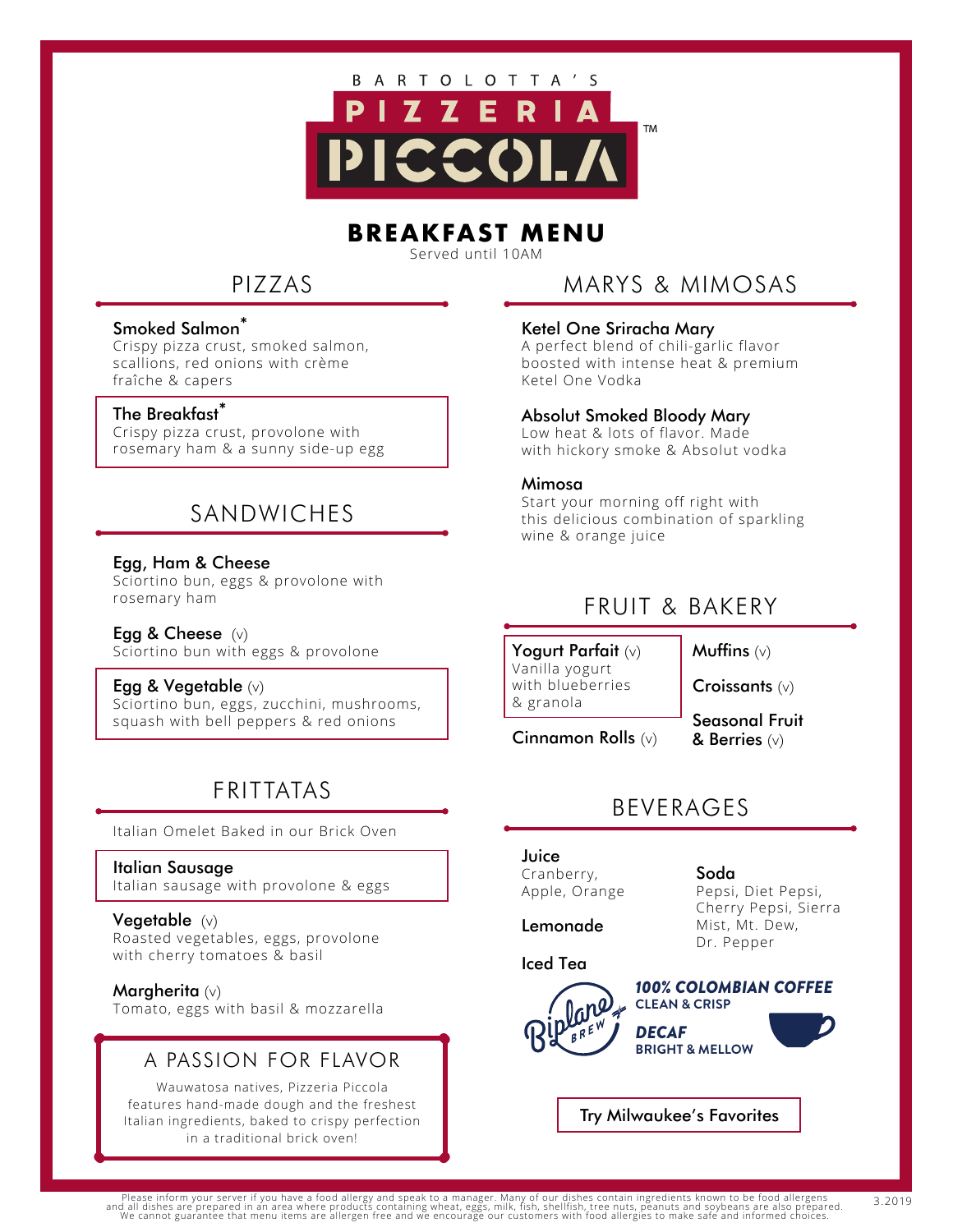

# **BREAKFAST MENU**

Served until 10AM

# PIZZAS

#### Smoked Salmon<sup>\*</sup>

Crispy pizza crust, smoked salmon, scallions, red onions with crème fraîche & capers

#### The Breakfast\*

Crispy pizza crust, provolone with rosemary ham & a sunny side-up egg

# SANDWICHES

Egg, Ham & Cheese Sciortino bun, eggs & provolone with rosemary ham

Egg & Cheese  $(v)$ Sciortino bun with eggs & provolone

Egg & Vegetable (v) Sciortino bun, eggs, zucchini, mushrooms, squash with bell peppers & red onions

# FRITTATAS

Italian Omelet Baked in our Brick Oven

#### Italian Sausage

Italian sausage with provolone & eggs

#### Vegetable(v)

Roasted vegetables, eggs, provolone with cherry tomatoes & basil

#### Margherita (v)

Tomato, eggs with basil & mozzarella

#### A PASSION FOR FLAVOR

Wauwatosa natives, Pizzeria Piccola features hand-made dough and the freshest Italian ingredients, baked to crispy perfection in a traditional brick oven!

## MARYS & MIMOSAS

#### Ketel One Sriracha Mary

A perfect blend of chili-garlic flavor boosted with intense heat & premium Ketel One Vodka

#### Absolut Smoked Bloody Mary

Low heat & lots of flavor. Made with hickory smoke & Absolut vodka

#### Mimosa

Start your morning off right with this delicious combination of sparkling wine & orange juice

### FRUIT & BAKERY

Yogurt Parfait (v) Vanilla yogurt with blueberries & granola

Muffins  $(v)$ 

Croissants (v)

Cinnamon Rolls (v)

Seasonal Fruit & Berries (v)

### BEVERAGES

### Juice

Cranberry, Apple, Orange

Lemonade

### Iced Tea



Cherry Pepsi, Sierra Mist, Mt. Dew, Dr. Pepper

Pepsi, Diet Pepsi,



Soda



Try Milwaukee's Favorites

3.2019